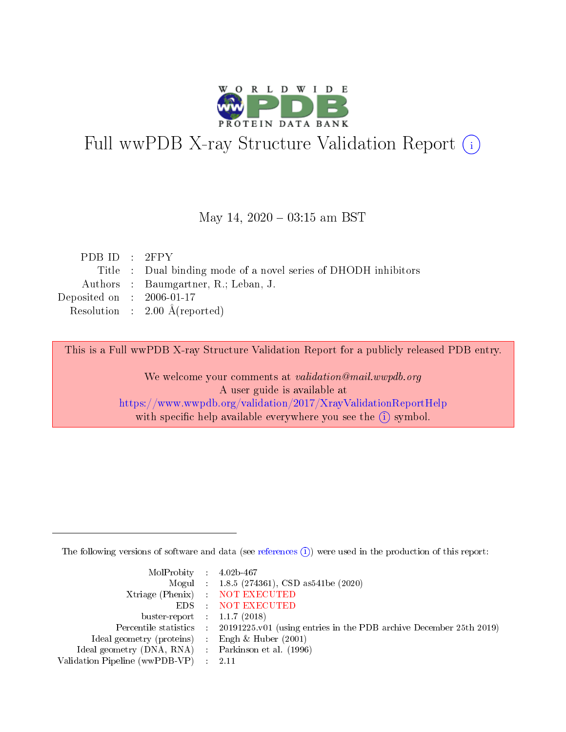

# Full wwPDB X-ray Structure Validation Report (i)

#### May 14,  $2020 - 03:15$  am BST

| PDB ID : $2FPY$                                                 |
|-----------------------------------------------------------------|
| Title : Dual binding mode of a novel series of DHODH inhibitors |
| Authors : Baumgartner, R.; Leban, J.                            |
| Deposited on : $2006-01-17$                                     |
| Resolution : $2.00 \text{ Å}$ (reported)                        |
|                                                                 |

This is a Full wwPDB X-ray Structure Validation Report for a publicly released PDB entry.

We welcome your comments at validation@mail.wwpdb.org A user guide is available at <https://www.wwpdb.org/validation/2017/XrayValidationReportHelp> with specific help available everywhere you see the  $(i)$  symbol.

The following versions of software and data (see [references](https://www.wwpdb.org/validation/2017/XrayValidationReportHelp#references)  $(i)$ ) were used in the production of this report:

| MolProbity : $4.02b-467$                            |                                                                                            |
|-----------------------------------------------------|--------------------------------------------------------------------------------------------|
|                                                     | Mogul : 1.8.5 (274361), CSD as 541be (2020)                                                |
|                                                     | Xtriage (Phenix) NOT EXECUTED                                                              |
|                                                     | EDS : NOT EXECUTED                                                                         |
| buster-report : $1.1.7(2018)$                       |                                                                                            |
|                                                     | Percentile statistics : 20191225.v01 (using entries in the PDB archive December 25th 2019) |
| Ideal geometry (proteins) : Engh $\&$ Huber (2001)  |                                                                                            |
| Ideal geometry (DNA, RNA) : Parkinson et al. (1996) |                                                                                            |
| Validation Pipeline (wwPDB-VP)                      | - 2.11                                                                                     |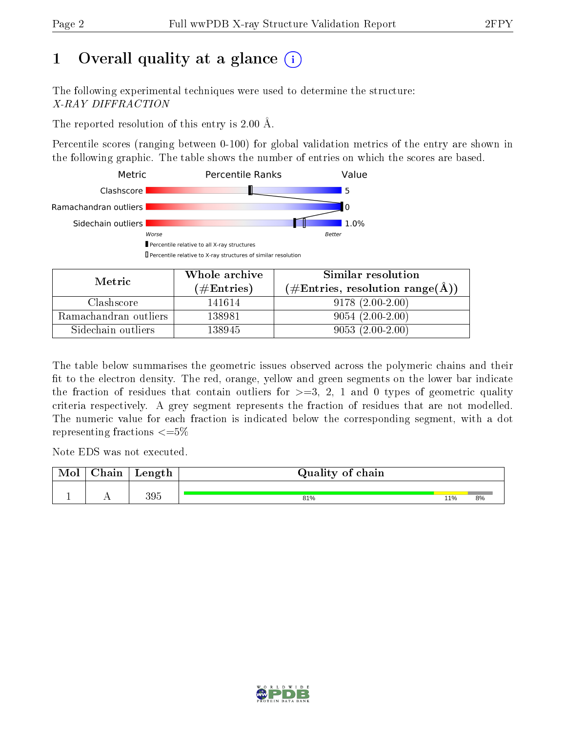# 1 [O](https://www.wwpdb.org/validation/2017/XrayValidationReportHelp#overall_quality)verall quality at a glance  $(i)$

The following experimental techniques were used to determine the structure: X-RAY DIFFRACTION

The reported resolution of this entry is 2.00 Å.

Percentile scores (ranging between 0-100) for global validation metrics of the entry are shown in the following graphic. The table shows the number of entries on which the scores are based.



| Metric                | Whole archive<br>$(\#\text{Entries})$ | Similar resolution<br>$(\#\text{Entries}, \text{resolution range}(\textup{A}))$ |
|-----------------------|---------------------------------------|---------------------------------------------------------------------------------|
| Clashscore            | 141614                                | $9178(2.00-2.00)$                                                               |
| Ramachandran outliers | 138981                                | $9054(2.00-2.00)$                                                               |
| Sidechain outliers    | 138945                                | $9053(2.00-2.00)$                                                               |

The table below summarises the geometric issues observed across the polymeric chains and their fit to the electron density. The red, orange, yellow and green segments on the lower bar indicate the fraction of residues that contain outliers for  $\geq=3$ , 2, 1 and 0 types of geometric quality criteria respectively. A grey segment represents the fraction of residues that are not modelled. The numeric value for each fraction is indicated below the corresponding segment, with a dot representing fractions  $\leq=5\%$ 

Note EDS was not executed.

| Mol | $\cap$ hain | Length | Quality of chain |     |    |
|-----|-------------|--------|------------------|-----|----|
|     |             | 395    | 81%              | 11% | 8% |

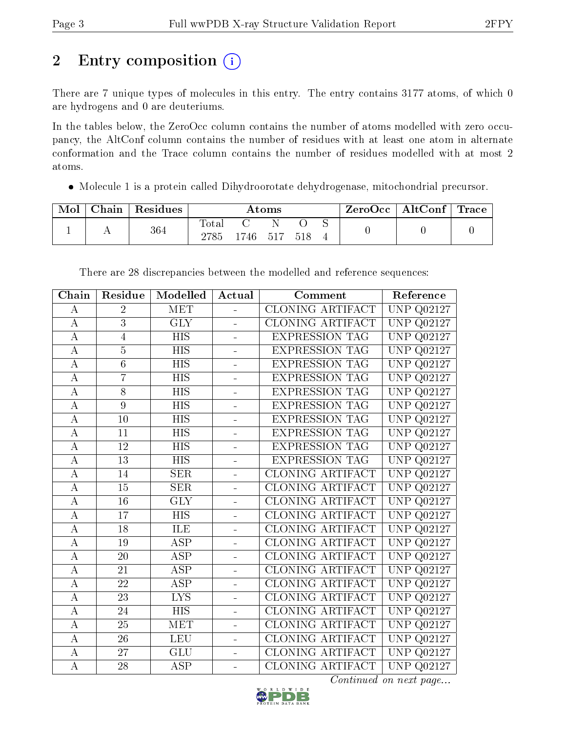# 2 Entry composition (i)

There are 7 unique types of molecules in this entry. The entry contains 3177 atoms, of which 0 are hydrogens and 0 are deuteriums.

In the tables below, the ZeroOcc column contains the number of atoms modelled with zero occupancy, the AltConf column contains the number of residues with at least one atom in alternate conformation and the Trace column contains the number of residues modelled with at most 2 atoms.

Molecule 1 is a protein called Dihydroorotate dehydrogenase, mitochondrial precursor.

| Mol | Chain   Residues |               |            | $\rm{Atoms}$ |      | $\text{ZeroOcc} \mid \text{AltConf} \mid \text{Trace}$ |  |
|-----|------------------|---------------|------------|--------------|------|--------------------------------------------------------|--|
|     | 364              | Total<br>2785 | $1746$ 517 |              | .518 |                                                        |  |

| Chain              | Residue         | Modelled                | Actual                   | Comment                 | Reference                      |
|--------------------|-----------------|-------------------------|--------------------------|-------------------------|--------------------------------|
| А                  | $\overline{2}$  | MET                     | $\equiv$                 | <b>CLONING ARTIFACT</b> | $\overline{\text{UNP}}$ Q02127 |
| А                  | $\overline{3}$  | <b>GLY</b>              |                          | CLONING ARTIFACT        | UNP<br>Q02127                  |
| А                  | $\overline{4}$  | <b>HIS</b>              | $\overline{a}$           | <b>EXPRESSION TAG</b>   | <b>UNP</b><br>Q02127           |
| $\boldsymbol{A}$   | $\overline{5}$  | <b>HIS</b>              | $\overline{a}$           | <b>EXPRESSION TAG</b>   | <b>UNP</b><br>Q02127           |
| А                  | $\overline{6}$  | $\overline{HIS}$        |                          | <b>EXPRESSION TAG</b>   | <b>UNP</b><br>Q02127           |
| А                  | $\overline{7}$  | HIS                     | $\overline{a}$           | <b>EXPRESSION TAG</b>   | <b>UNP</b><br>Q02127           |
| $\boldsymbol{A}$   | $\overline{8}$  | $\overline{HIS}$        | ÷,                       | <b>EXPRESSION TAG</b>   | $\overline{U}NP$<br>Q02127     |
| А                  | $\overline{9}$  | HIS                     |                          | <b>EXPRESSION TAG</b>   | <b>UNP</b><br>Q02127           |
| $\boldsymbol{A}$   | 10              | HIS                     | $\overline{a}$           | <b>EXPRESSION TAG</b>   | Q02127<br><b>UNP</b>           |
| $\boldsymbol{A}$   | 11              | $\overline{HIS}$        |                          | <b>EXPRESSION TAG</b>   | <b>UNP</b><br>Q02127           |
| А                  | 12              | HIS                     |                          | <b>EXPRESSION TAG</b>   | <b>UNP</b><br>Q02127           |
| $\boldsymbol{A}$   | 13              | <b>HIS</b>              | $\blacksquare$           | <b>EXPRESSION TAG</b>   | Q02127<br><b>UNP</b>           |
| $\boldsymbol{A}$   | 14              | <b>SER</b>              | $\overline{\phantom{0}}$ | CLONING ARTIFACT        | <b>UNP</b><br>Q02127           |
| А                  | 15              | <b>SER</b>              |                          | <b>CLONING ARTIFACT</b> | <b>UNP</b><br>Q02127           |
| $\boldsymbol{A}$   | 16              | <b>GLY</b>              | ÷                        | CLONING ARTIFACT        | <b>UNP</b><br>Q02127           |
| $\boldsymbol{A}$   | 17              | <b>HIS</b>              |                          | CLONING ARTIFACT        | <b>UNP</b><br>Q02127           |
| А                  | 18              | ILE                     |                          | <b>CLONING ARTIFACT</b> | <b>UNP</b><br>Q02127           |
| $\boldsymbol{A}$   | 19              | ASP                     | ÷                        | CLONING ARTIFACT        | <b>UNP</b><br>Q02127           |
| $\boldsymbol{A}$   | 20              | <b>ASP</b>              |                          | CLONING ARTIFACT        | <b>UNP</b><br>Q02127           |
| А                  | 21              | <b>ASP</b>              |                          | <b>CLONING ARTIFACT</b> | <b>UNP</b><br>Q02127           |
| $\bf{A}$           | 22              | <b>ASP</b>              | ÷                        | <b>CLONING ARTIFACT</b> | <b>UNP</b><br>Q02127           |
| $\boldsymbol{A}$   | $\overline{23}$ | $\overline{\text{LYS}}$ |                          | <b>CLONING ARTIFACT</b> | <b>UNP</b><br>Q02127           |
| А                  | 24              | HIS                     |                          | <b>CLONING ARTIFACT</b> | <b>UNP</b><br>Q02127           |
| $\bf{A}$           | 25              | MET                     | ÷                        | CLONING ARTIFACT        | <b>UNP</b><br>Q02127           |
| $\overline{A}$     | 26              | LEU                     |                          | <b>CLONING ARTIFACT</b> | <b>UNP</b><br>Q02127           |
| А                  | 27              | GLU                     |                          | <b>CLONING ARTIFACT</b> | <b>UNP</b><br>Q02127           |
| $\overline{\rm A}$ | $\overline{28}$ | <b>ASP</b>              | ÷                        | <b>CLONING ARTIFACT</b> | <b>UNP Q02127</b>              |

There are 28 discrepancies between the modelled and reference sequences:

Continued on next page...

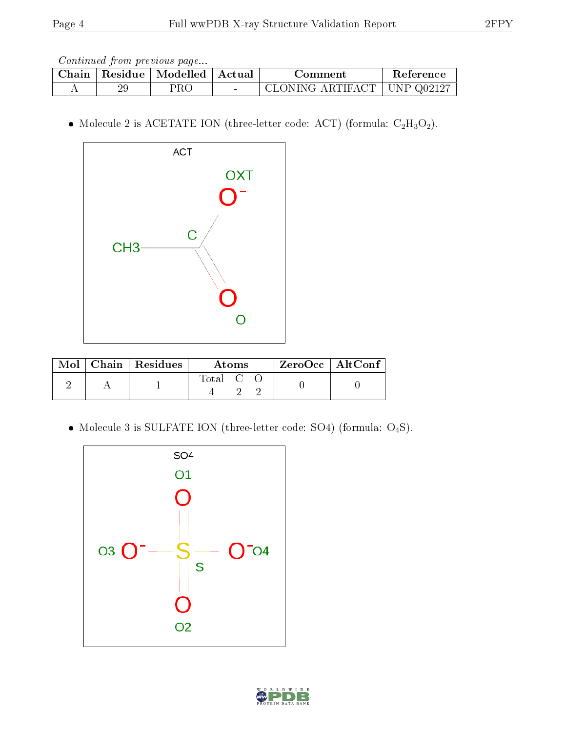Continued from previous page...

| Chain |    | $\Box$ Residue   Modelled   Actual | Comment                       | Reference |
|-------|----|------------------------------------|-------------------------------|-----------|
|       | 29 | PRC                                | CLONING ARTIFACT   UNP Q02127 |           |

 $\bullet$  Molecule 2 is ACETATE ION (three-letter code: ACT) (formula:  $\rm{C_2H_3O_2}).$ 



|  | $\text{Mol}$   Chain   Residues | Atoms   | $ZeroOcc$   AltConf |  |
|--|---------------------------------|---------|---------------------|--|
|  |                                 | Total C |                     |  |

 $\bullet$  Molecule 3 is SULFATE ION (three-letter code: SO4) (formula:  $\mathrm{O}_4\mathrm{S}) .$ 



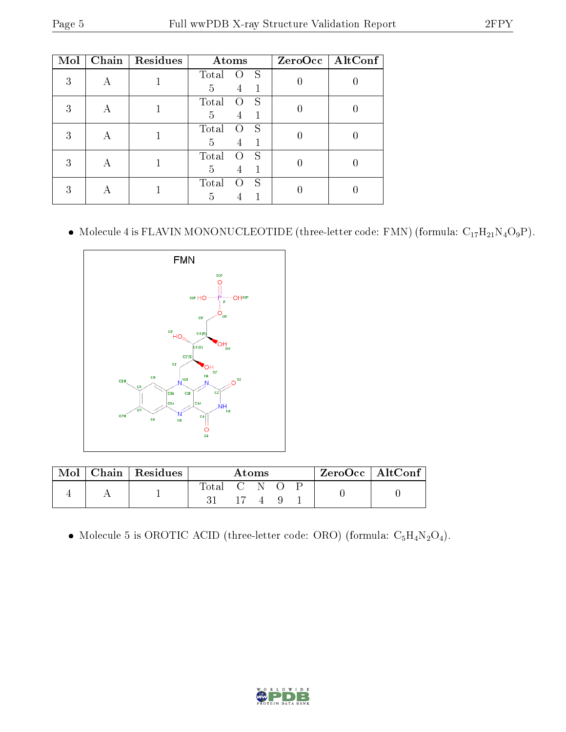| Mol |   | Chain   Residues | Atoms                                    | ZeroOcc   AltConf |
|-----|---|------------------|------------------------------------------|-------------------|
| 3   | A |                  | Total<br>S<br>0                          |                   |
|     |   |                  | 5<br>4<br>S<br>Total<br>$\left( \right)$ |                   |
| 3   |   |                  | 1<br>5<br>4                              |                   |
| 3   | А |                  | Total<br>S<br>$\left( \right)$           |                   |
|     |   |                  | 5<br>4                                   |                   |
| 3   | А |                  | Total<br>S<br>$\left( \right)$<br>5<br>4 |                   |
| 3   |   |                  | Total<br>S<br>$\left( \ \right)$<br>5    |                   |

 $\bullet\,$  Molecule 4 is FLAVIN MONONUCLEOTIDE (three-letter code: FMN) (formula:  $\rm C_{17}H_{21}N_4O_9P).$ 



| Mol | $Chain   Residues$ | Atoms       |  |  |  |  | $\mathsf{ZeroOcc} \mid \mathsf{AltConf} \mid$ |  |
|-----|--------------------|-------------|--|--|--|--|-----------------------------------------------|--|
|     |                    | Total C N O |  |  |  |  |                                               |  |
|     |                    |             |  |  |  |  |                                               |  |

• Molecule 5 is OROTIC ACID (three-letter code: ORO) (formula:  $C_5H_4N_2O_4$ ).

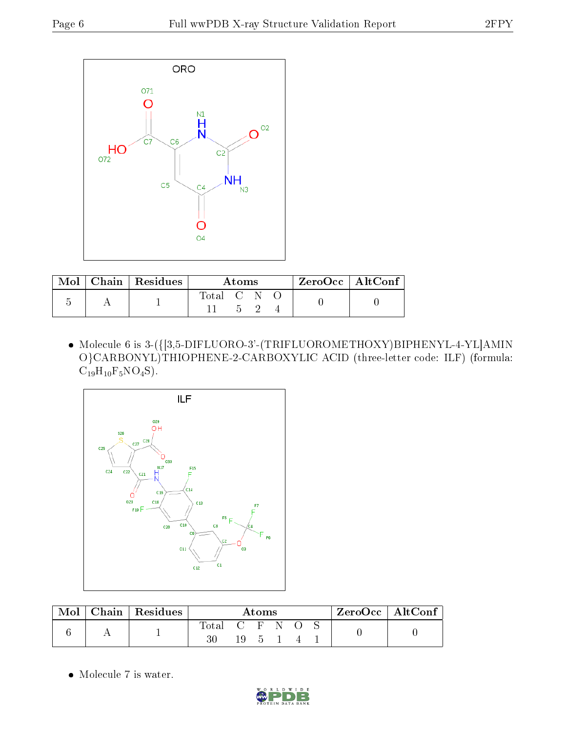

|  | Mol   Chain   Residues | Atoms     |  |  |  | $ZeroOcc \   \ AltConf \  $ |
|--|------------------------|-----------|--|--|--|-----------------------------|
|  |                        | Total C N |  |  |  |                             |

 Molecule 6 is 3-({[3,5-DIFLUORO-3'-(TRIFLUOROMETHOXY)BIPHENYL-4-YL]AMIN O}CARBONYL)THIOPHENE-2-CARBOXYLIC ACID (three-letter code: ILF) (formula:  $C_{19}H_{10}F_5NO_4S$ .



| $\bf{Mol}$ | $\mid$ Chain $\mid$ Residues | Atoms         |  |  |  |  | $ZeroOcc \   \ AltConf \  $ |  |
|------------|------------------------------|---------------|--|--|--|--|-----------------------------|--|
|            |                              | Total C F N O |  |  |  |  |                             |  |

• Molecule 7 is water.

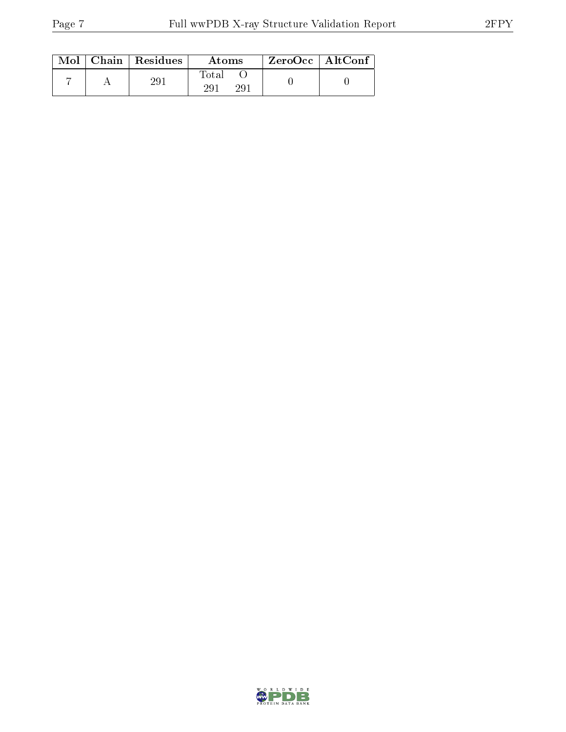| Mol | Chain   Residues | Atoms                           | $ZeroOcc$   AltConf |  |
|-----|------------------|---------------------------------|---------------------|--|
|     | 291              | Total<br>29 <sup>1</sup><br>291 |                     |  |

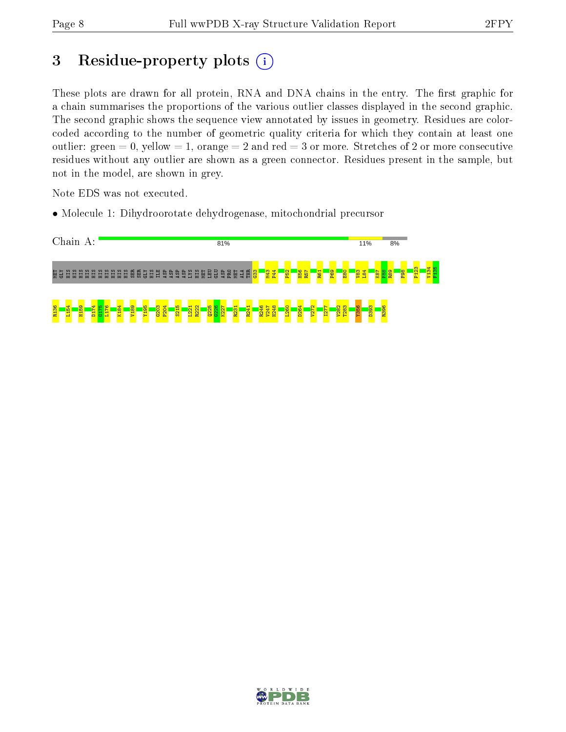# 3 Residue-property plots  $(i)$

These plots are drawn for all protein, RNA and DNA chains in the entry. The first graphic for a chain summarises the proportions of the various outlier classes displayed in the second graphic. The second graphic shows the sequence view annotated by issues in geometry. Residues are colorcoded according to the number of geometric quality criteria for which they contain at least one outlier: green  $= 0$ , yellow  $= 1$ , orange  $= 2$  and red  $= 3$  or more. Stretches of 2 or more consecutive residues without any outlier are shown as a green connector. Residues present in the sample, but not in the model, are shown in grey.

Note EDS was not executed.

• Molecule 1: Dihydroorotate dehydrogenase, mitochondrial precursor



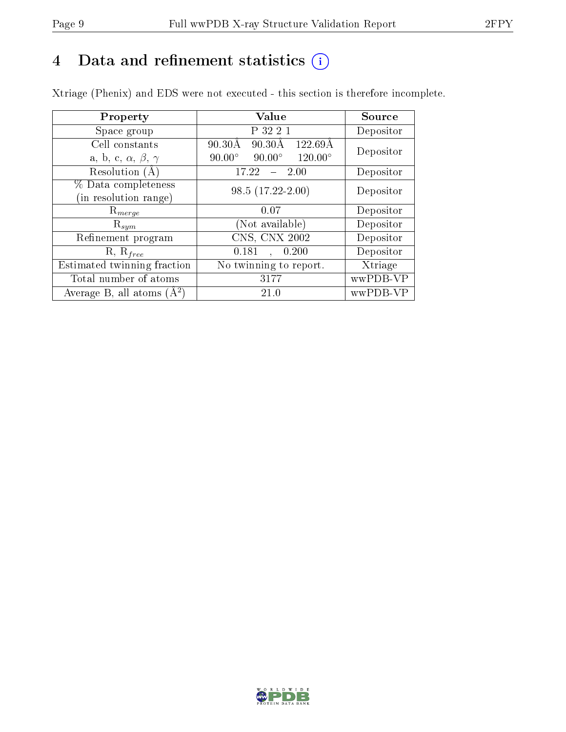# 4 Data and refinement statistics  $(i)$

Xtriage (Phenix) and EDS were not executed - this section is therefore incomplete.

| Property                               | Value                                                        | Source    |  |
|----------------------------------------|--------------------------------------------------------------|-----------|--|
| Space group                            | P 32 2 1                                                     | Depositor |  |
| Cell constants                         | $90.30\text{\AA}$<br>$90.30\text{\AA}$<br>$122.69\text{\AA}$ | Depositor |  |
| a, b, c, $\alpha$ , $\beta$ , $\gamma$ | $90.00^\circ$<br>$120.00^\circ$<br>$90.00^\circ$             |           |  |
| Resolution (A)                         | 17.22<br>$-2.00$                                             | Depositor |  |
| % Data completeness                    | $98.5(17.22-2.00)$                                           | Depositor |  |
| (in resolution range)                  |                                                              |           |  |
| $R_{merge}$                            | 0.07                                                         | Depositor |  |
| $\mathrm{R}_{sym}$                     | (Not available)                                              | Depositor |  |
| Refinement program                     | CNS, CNX 2002                                                | Depositor |  |
| $R, R_{free}$                          | 0.181<br>, 0.200                                             | Depositor |  |
| Estimated twinning fraction            | No twinning to report.                                       | Xtriage   |  |
| Total number of atoms                  | 3177                                                         | wwPDB-VP  |  |
| Average B, all atoms $(A^2)$           | 21.0                                                         | wwPDB-VP  |  |

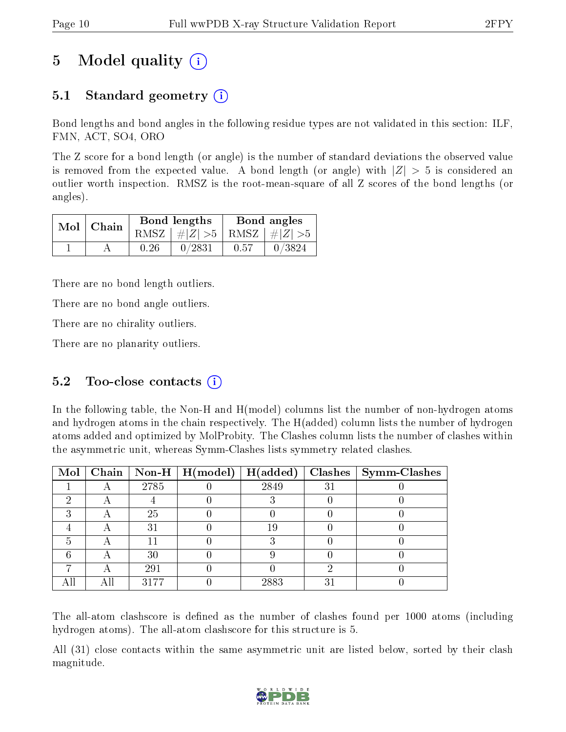# 5 Model quality  $(i)$

# 5.1 Standard geometry (i)

Bond lengths and bond angles in the following residue types are not validated in this section: ILF, FMN, ACT, SO4, ORO

The Z score for a bond length (or angle) is the number of standard deviations the observed value is removed from the expected value. A bond length (or angle) with  $|Z| > 5$  is considered an outlier worth inspection. RMSZ is the root-mean-square of all Z scores of the bond lengths (or angles).

| $Mol$   Chain |      | Bond lengths                    | Bond angles |        |  |
|---------------|------|---------------------------------|-------------|--------|--|
|               |      | RMSZ $ #Z  > 5$ RMSZ $ #Z  > 5$ |             |        |  |
|               | 0.26 | 0/2831                          | 0.57        | 0/3824 |  |

There are no bond length outliers.

There are no bond angle outliers.

There are no chirality outliers.

There are no planarity outliers.

### 5.2 Too-close contacts  $(i)$

In the following table, the Non-H and H(model) columns list the number of non-hydrogen atoms and hydrogen atoms in the chain respectively. The H(added) column lists the number of hydrogen atoms added and optimized by MolProbity. The Clashes column lists the number of clashes within the asymmetric unit, whereas Symm-Clashes lists symmetry related clashes.

| Mol |   |      | Chain   Non-H   $H (model)$   $H (added)$ |      |    | $Clashes$   Symm-Clashes |
|-----|---|------|-------------------------------------------|------|----|--------------------------|
|     | Η | 2785 |                                           | 2849 | 31 |                          |
|     |   |      |                                           |      |    |                          |
|     |   | 25   |                                           |      |    |                          |
|     |   | 31   |                                           | 19   |    |                          |
|     |   |      |                                           |      |    |                          |
|     |   | 30   |                                           |      |    |                          |
|     |   | 291  |                                           |      |    |                          |
|     |   | 3177 |                                           | 2883 | 3  |                          |

The all-atom clashscore is defined as the number of clashes found per 1000 atoms (including hydrogen atoms). The all-atom clashscore for this structure is 5.

All (31) close contacts within the same asymmetric unit are listed below, sorted by their clash magnitude.

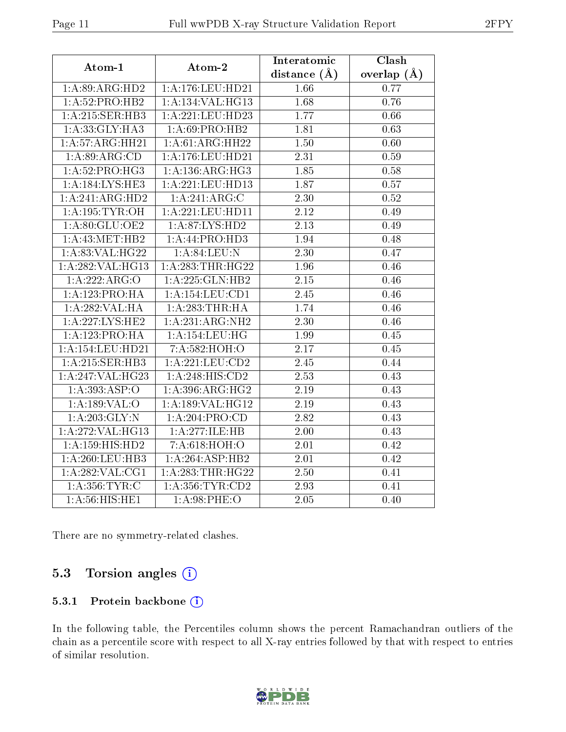| Atom-1                            | Atom-2              | Interatomic       | Clash             |
|-----------------------------------|---------------------|-------------------|-------------------|
|                                   |                     | distance $(A)$    | overlap $(\AA)$   |
| 1: A:89: ARG:HD2                  | 1:A:176:LEU:HD21    | 1.66              | 0.77              |
| 1:A:52:PRO:HB2                    | 1:A:134:VAL:HG13    | 1.68              | 0.76              |
| 1:A:215:SER:HB3                   | 1:A:221:LEU:HD23    | 1.77              | 0.66              |
| 1: A: 33: GLY: HA3                | 1:A:69:PRO:HB2      | 1.81              | 0.63              |
| 1:A:57:ARG:HH21                   | 1:A:61:ARG:HH22     | 1.50              | 0.60              |
| 1:A:89:ARG:CD                     | 1:A:176:LEU:HD21    | 2.31              | 0.59              |
| $1:A:52:P\overline{{\rm RO:HG3}}$ | 1:A:136:ARG:HG3     | 1.85              | 0.58              |
| 1: A:184:LYS:HE3                  | 1:A:221:LEU:HD13    | 1.87              | $\overline{0.57}$ |
| 1:A:241:ARG:HD2                   | 1:A:241:ARG:C       | $\overline{2.30}$ | 0.52              |
| 1:A:195:TYR:OH                    | 1:A:221:LEU:HD11    | $\overline{2.12}$ | 0.49              |
| 1:A:80:GLU:OE2                    | 1: A:87: LYS: HD2   | 2.13              | 0.49              |
| 1: A: 43: MET: HB2                | 1: A:44: PRO:HD3    | 1.94              | 0.48              |
| 1:A:83:VAL:HG22                   | 1: A:84:LEU:N       | $\overline{2.30}$ | 0.47              |
| 1:A:282:VAL:HG13                  | 1:A:283:THR:HG22    | 1.96              | 0.46              |
| 1:A:222:ARG:O                     | 1: A: 225: GLN: HB2 | $\overline{2.15}$ | $0.46\,$          |
| 1:A:123:PRO:HA                    | 1: A: 154: LEU: CD1 | 2.45              | 0.46              |
| 1: A:282:VAL:HA                   | 1:A:283:THR:HA      | 1.74              | $0.46\,$          |
| 1:A:227:LYS:HE2                   | 1:A:231:ARG:NH2     | 2.30              | 0.46              |
| 1:A:123:PRO:HA                    | 1:A:154:LEU:HG      | 1.99              | 0.45              |
| 1:A:154:LEU:HD21                  | 7:A:582:HOH:O       | 2.17              | 0.45              |
| 1:A:215:SER:HB3                   | 1:A:221:LEU:CD2     | 2.45              | 0.44              |
| 1:A:247:VAL:HG23                  | 1:A:248:HIS:CD2     | 2.53              | 0.43              |
| 1: A: 393: ASP:O                  | 1: A:396:ARG:HG2    | 2.19              | 0.43              |
| 1:A:189:VAL:O                     | 1:A:189:VAL:HG12    | 2.19              | 0.43              |
| 1: A: 203: GLY:N                  | 1:A:204:PRO:CD      | 2.82              | 0.43              |
| 1:A:272:VAL:HG13                  | 1:A:277:ILE:HB      | 2.00              | 0.43              |
| 1: A:159:HIS:HD2                  | 7:A:618:HOH:O       | 2.01              | 0.42              |
| 1: A:260:LEU:HB3                  | 1:A:264:ASP:HB2     | 2.01              | 0.42              |
| 1: A:282: VAL:CG1                 | 1:A:283:THR:HG22    | 2.50              | 0.41              |
| 1: A: 356: TYR: C                 | 1: A: 356: TYR: CD2 | $\overline{2.93}$ | 0.41              |
| 1: A:56: HIS: HE1                 | 1: A:98:PHE:O       | 2.05              | 0.40              |

There are no symmetry-related clashes.

## 5.3 Torsion angles (i)

#### 5.3.1 Protein backbone (i)

In the following table, the Percentiles column shows the percent Ramachandran outliers of the chain as a percentile score with respect to all X-ray entries followed by that with respect to entries of similar resolution.

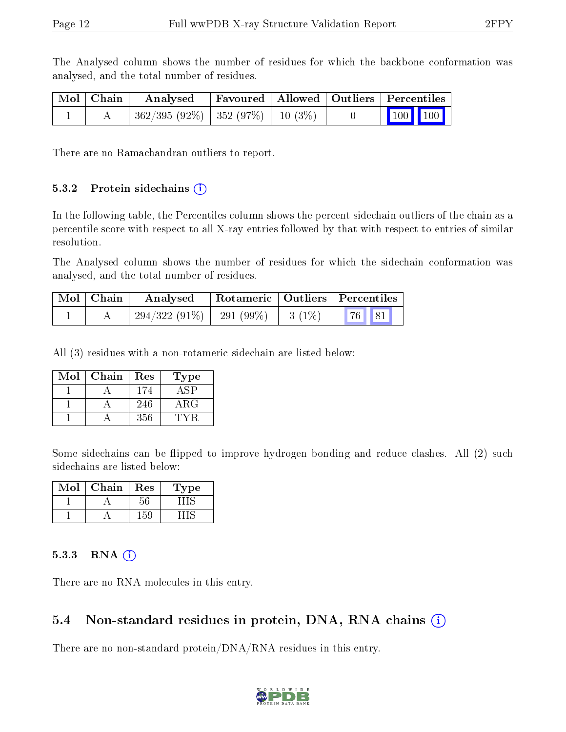The Analysed column shows the number of residues for which the backbone conformation was analysed, and the total number of residues.

| Mol   Chain | Analysed                                 |  | Favoured   Allowed   Outliers   Percentiles                             |  |
|-------------|------------------------------------------|--|-------------------------------------------------------------------------|--|
|             | $362/395 (92\%)$   352 (97\%)   10 (3\%) |  | $\begin{array}{ c c c c c }\n\hline\n100 & 100 & \\\hline\n\end{array}$ |  |

There are no Ramachandran outliers to report.

#### 5.3.2 Protein sidechains  $(i)$

In the following table, the Percentiles column shows the percent sidechain outliers of the chain as a percentile score with respect to all X-ray entries followed by that with respect to entries of similar resolution.

The Analysed column shows the number of residues for which the sidechain conformation was analysed, and the total number of residues.

| Mol   Chain | $\perp$ Rotameric   Outliers   Percentiles<br>Analysed |                       |          |  |  |
|-------------|--------------------------------------------------------|-----------------------|----------|--|--|
|             | $294/322(91\%)$                                        | $\frac{1}{291}$ (99%) | $3(1\%)$ |  |  |

All (3) residues with a non-rotameric sidechain are listed below:

| Mol | Chain | Res | Type       |
|-----|-------|-----|------------|
|     |       | 174 |            |
|     |       | 246 | $\rm{ARG}$ |
|     |       | 356 |            |

Some sidechains can be flipped to improve hydrogen bonding and reduce clashes. All (2) such sidechains are listed below:

| Mol | Chain | Res | Type |
|-----|-------|-----|------|
|     |       |     |      |
|     |       | -59 |      |

#### $5.3.3$  RNA  $(i)$

There are no RNA molecules in this entry.

#### 5.4 Non-standard residues in protein, DNA, RNA chains (i)

There are no non-standard protein/DNA/RNA residues in this entry.

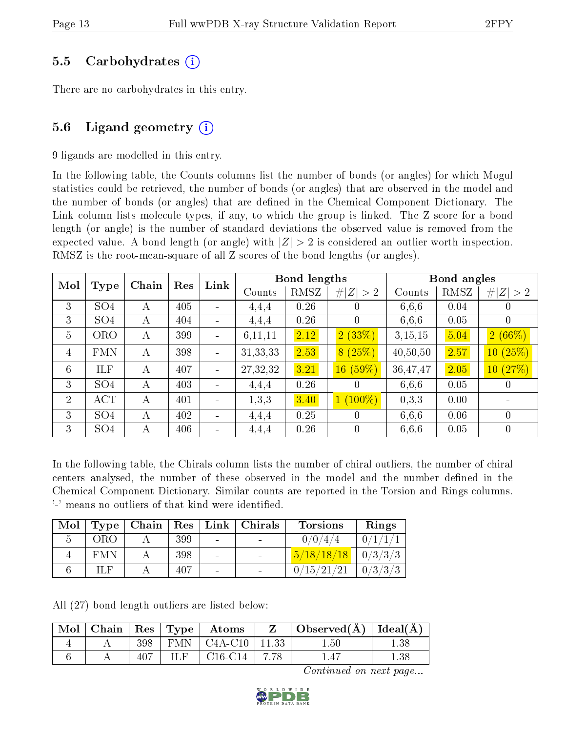### 5.5 Carbohydrates (i)

There are no carbohydrates in this entry.

## 5.6 Ligand geometry  $(i)$

9 ligands are modelled in this entry.

In the following table, the Counts columns list the number of bonds (or angles) for which Mogul statistics could be retrieved, the number of bonds (or angles) that are observed in the model and the number of bonds (or angles) that are defined in the Chemical Component Dictionary. The Link column lists molecule types, if any, to which the group is linked. The Z score for a bond length (or angle) is the number of standard deviations the observed value is removed from the expected value. A bond length (or angle) with  $|Z| > 2$  is considered an outlier worth inspection. RMSZ is the root-mean-square of all Z scores of the bond lengths (or angles).

| Mol            |                 | Chain | Res | Link                     |            | Bond lengths |                |          | Bond angles |                          |
|----------------|-----------------|-------|-----|--------------------------|------------|--------------|----------------|----------|-------------|--------------------------|
|                | Type            |       |     |                          | Counts     | RMSZ         | # $ Z  > 2$    | Counts   | RMSZ        | # $ Z  > 2$              |
| 3              | SO <sub>4</sub> | А     | 405 |                          | 4,4,4      | 0.26         | $\theta$       | 6,6,6    | 0.04        | $\theta$                 |
| 3              | SO <sub>4</sub> | А     | 404 | ÷.                       | 4,4,4      | 0.26         | $\theta$       | 6,6,6    | 0.05        | $\overline{0}$           |
| $\overline{5}$ | ORO             | А     | 399 | $\blacksquare$           | 6,11,11    | 2.12         | 2(33%)         | 3,15,15  | 5.04        | 2(66%)                   |
| 4              | <b>FMN</b>      | А     | 398 | ÷                        | 31, 33, 33 | 2.53         | 8(25%)         | 40,50,50 | 2.57        | (25%)<br>10 <sup>°</sup> |
| 6              | ILF             | А     | 407 | $\blacksquare$           | 27,32,32   | 3.21         | 16(59%)        | 36,47,47 | 2.05        | (27%)<br>10 <sup>°</sup> |
| 3              | SO <sub>4</sub> | А     | 403 | $\blacksquare$           | 4,4,4      | 0.26         | $\cup$         | 6,6,6    | 0.05        | $\cup$                   |
| $\overline{2}$ | ACT             | А     | 401 |                          | 1,3,3      | 3.40         | $1(100\%)$     | 0,3,3    | 0.00        |                          |
| 3              | SO <sub>4</sub> | А     | 402 | ÷.                       | 4,4,4      | 0.25         | $\overline{0}$ | 6.6.6    | 0.06        | $\overline{0}$           |
| 3              | SO <sub>4</sub> | А     | 406 | $\overline{\phantom{a}}$ | 4,4,4      | 0.26         | $\overline{0}$ | 6,6,6    | 0.05        | $\overline{0}$           |

In the following table, the Chirals column lists the number of chiral outliers, the number of chiral centers analysed, the number of these observed in the model and the number defined in the Chemical Component Dictionary. Similar counts are reported in the Torsion and Rings columns. '-' means no outliers of that kind were identified.

| Mol | Type       |     |                | Chain   Res   Link   Chirals | <b>Torsions</b> | Rings          |
|-----|------------|-----|----------------|------------------------------|-----------------|----------------|
|     | ORO        | 399 | $\blacksquare$ |                              | 0/0/4/4         |                |
|     | <b>FMN</b> | 398 |                |                              | 5/18/18/18      | $\mid 0/3/3/3$ |
|     |            | 407 | $\blacksquare$ |                              | 0/15/21/21      | 0/3/3/3        |

All (27) bond length outliers are listed below:

| Mol | Chain |       | $ $ Res $ $ Type $ $ | Atoms           |       | Observed $(A)$ | $\vert$ Ideal( $\rm \AA$ ) |
|-----|-------|-------|----------------------|-----------------|-------|----------------|----------------------------|
|     |       | 398   |                      | $FMN$   C4A-C10 | 11.33 | $1.50\,$       | .38                        |
|     |       | $-40$ |                      | $C16-C14$       | 7.78  |                | $1.38\,$                   |

Continued on next page...

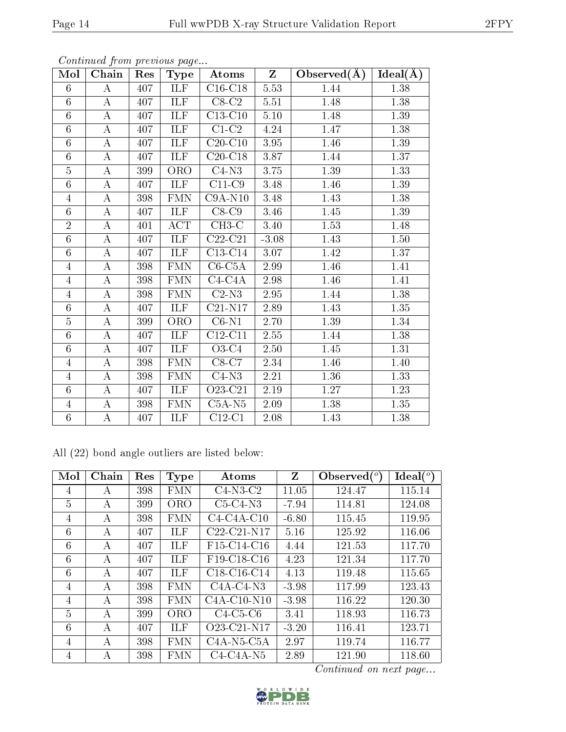| Mol            | Chain            | Res | $_{\rm Type}$               | Atoms               | $\mathbf{Z}$ | Observed $(A)$ | Ideal(A) |
|----------------|------------------|-----|-----------------------------|---------------------|--------------|----------------|----------|
| 6              | $\bf{A}$         | 407 | ILF                         | $C16-C18$           | 5.53         | 1.44           | 1.38     |
| 6              | A                | 407 | ILF                         | $C8-C2$             | 5.51         | 1.48           | 1.38     |
| $\overline{6}$ | $\boldsymbol{A}$ | 407 | <b>ILF</b>                  | $C13-C10$           | $5.10\,$     | 1.48           | 1.39     |
| $\overline{6}$ | $\boldsymbol{A}$ | 407 | ILF                         | $C1-C2$             | 4.24         | 1.47           | 1.38     |
| 6              | $\boldsymbol{A}$ | 407 | ILF                         | $C20-C10$           | 3.95         | 1.46           | 1.39     |
| 6              | $\boldsymbol{A}$ | 407 | <b>ILF</b>                  | $C20-C18$           | 3.87         | 1.44           | 1.37     |
| $\overline{5}$ | $\boldsymbol{A}$ | 399 | <b>ORO</b>                  | $C4-N3$             | 3.75         | 1.39           | 1.33     |
| 6              | $\boldsymbol{A}$ | 407 | ILF                         | $C11-C9$            | 3.48         | 1.46           | 1.39     |
| $\overline{4}$ | $\boldsymbol{A}$ | 398 | <b>FMN</b>                  | $C9A-N10$           | 3.48         | 1.43           | 1.38     |
| $\overline{6}$ | $\boldsymbol{A}$ | 407 | <b>ILF</b>                  | $C8-C9$             | 3.46         | 1.45           | 1.39     |
| $\overline{2}$ | $\boldsymbol{A}$ | 401 | <b>ACT</b>                  | $CH3-C$             | 3.40         | 1.53           | 1.48     |
| 6              | $\boldsymbol{A}$ | 407 | ILF                         | $C22-C21$           | $-3.08$      | 1.43           | $1.50\,$ |
| 6              | $\boldsymbol{A}$ | 407 | ILF                         | $C13-C14$           | 3.07         | 1.42           | 1.37     |
| $\overline{4}$ | $\boldsymbol{A}$ | 398 | <b>FMN</b>                  | $C6-C5A$            | 2.99         | 1.46           | 1.41     |
| 4              | $\boldsymbol{A}$ | 398 | <b>FMN</b>                  | $C4-C4A$            | 2.98         | 1.46           | 1.41     |
| $\overline{4}$ | $\boldsymbol{A}$ | 398 | <b>FMN</b>                  | $C2-N3$             | 2.95         | 1.44           | 1.38     |
| $\overline{6}$ | $\boldsymbol{A}$ | 407 | ILF                         | $C21-N17$           | 2.89         | 1.43           | $1.35\,$ |
| $\overline{5}$ | $\boldsymbol{A}$ | 399 | <b>ORO</b>                  | $C6-N1$             | 2.70         | 1.39           | 1.34     |
| 6              | $\boldsymbol{A}$ | 407 | ILF                         | $C12-C11$           | $2.55\,$     | 1.44           | $1.38\,$ |
| 6              | $\boldsymbol{A}$ | 407 | <b>ILF</b>                  | $\overline{O}3$ -C4 | 2.50         | 1.45           | 1.31     |
| $\overline{4}$ | $\boldsymbol{A}$ | 398 | <b>FMN</b>                  | $C8-C7$             | 2.34         | 1.46           | 1.40     |
| 4              | А                | 398 | <b>FMN</b>                  | $C4-N3$             | 2.21         | 1.36           | 1.33     |
| 6              | $\boldsymbol{A}$ | 407 | ILF                         | O23-C21             | 2.19         | 1.27           | 1.23     |
| $\overline{4}$ | $\boldsymbol{A}$ | 398 | $\mathop{\rm FMN}\nolimits$ | $C5A-N5$            | 2.09         | 1.38           | 1.35     |
| 6              | $\boldsymbol{A}$ | 407 | ILF                         | $C12-C1$            | 2.08         | 1.43           | 1.38     |

Continued from previous page...

All (22) bond angle outliers are listed below:

| Mol            | Chain | Res | <b>Type</b> | Atoms                                             | Z       | Observed $(°)$ | Ideal $(^\circ)$ |
|----------------|-------|-----|-------------|---------------------------------------------------|---------|----------------|------------------|
| 4              | А     | 398 | <b>FMN</b>  | $C4-N3-C2$                                        | 11.05   | 124.47         | 115.14           |
| 5              | А     | 399 | <b>ORO</b>  | $C5-C4-N3$                                        | $-7.94$ | 114.81         | 124.08           |
| 4              | А     | 398 | <b>FMN</b>  | $C4-C4A-C10$                                      | $-6.80$ | 115.45         | 119.95           |
| 6              | А     | 407 | <b>ILF</b>  | C22-C21-N17                                       | 5.16    | 125.92         | 116.06           |
| 6              | А     | 407 | ILF         | F <sub>15</sub> -C <sub>14</sub> -C <sub>16</sub> | 4.44    | 121.53         | 117.70           |
| 6              | А     | 407 | ILF         | F19-C18-C16                                       | 4.23    | 121.34         | 117.70           |
| 6              | A     | 407 | ILF         | C18-C16-C14                                       | 4.13    | 119.48         | 115.65           |
| 4              | А     | 398 | <b>FMN</b>  | $C4A-C4-N3$                                       | $-3.98$ | 117.99         | 123.43           |
| 4              | А     | 398 | <b>FMN</b>  | $C4A-C10-N10$                                     | $-3.98$ | 116.22         | 120.30           |
| 5              | A     | 399 | <b>ORO</b>  | $C4-C5-C6$                                        | 3.41    | 118.93         | 116.73           |
| 6              | А     | 407 | ILF         | O <sub>23</sub> -C <sub>21</sub> -N <sub>17</sub> | $-3.20$ | 116.41         | 123.71           |
| $\overline{4}$ | А     | 398 | <b>FMN</b>  | $C4A-N5-C5A$                                      | 2.97    | 119.74         | 116.77           |
| 4              | А     | 398 | <b>FMN</b>  | $C4-C4A-N5$                                       | 2.89    | 121.90         | 118.60           |

Continued on next page...

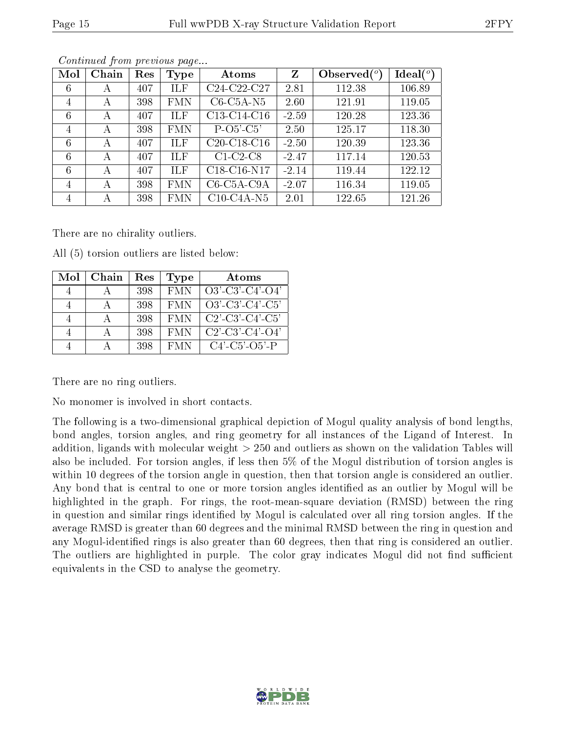| Mol            | Chain | Res | Type       | Atoms         | $\mathbf{Z}$ | Observed $(°)$ | $\text{Ideal}({}^o)$ |
|----------------|-------|-----|------------|---------------|--------------|----------------|----------------------|
| 6              | А     | 407 | ILF        | C24-C22-C27   | 2.81         | 112.38         | 106.89               |
| 4              | А     | 398 | <b>FMN</b> | $C6-C5A-N5$   | 2.60         | 121.91         | 119.05               |
| 6              | А     | 407 | ILF        | C13-C14-C16   | $-2.59$      | 120.28         | 123.36               |
| 4              | А     | 398 | <b>FMN</b> | $P-O5-C5'$    | 2.50         | 125.17         | 118.30               |
| 6              | А     | 407 | ILF        | $C20-C18-C16$ | $-2.50$      | 120.39         | 123.36               |
| 6              | А     | 407 | ILF        | $C1-C2-C8$    | $-2.47$      | 117.14         | 120.53               |
| 6              | А     | 407 | <b>ILF</b> | C18-C16-N17   | $-2.14$      | 119.44         | 122.12               |
| $\overline{4}$ | А     | 398 | <b>FMN</b> | $C6-C5A-C9A$  | $-2.07$      | 116.34         | 119.05               |
| $\overline{4}$ | А     | 398 | <b>FMN</b> | $C10-C4A-N5$  | 2.01         | 122.65         | 121.26               |

Continued from previous page...

There are no chirality outliers.

All (5) torsion outliers are listed below:

| Mol | Chain | Res | Type       | Atoms                         |
|-----|-------|-----|------------|-------------------------------|
|     |       | 398 | <b>FMN</b> | $O3'$ -C3'-C4'-O4'            |
|     |       | 398 | <b>FMN</b> | $O3'-C3'-C4'-C5'$             |
|     |       | 398 | - FMN      | $C2'$ - $C3'$ - $C4'$ - $C5'$ |
|     |       | 398 | <b>FMN</b> | $C2'$ - $C3'$ - $C4'$ - $O4'$ |
|     |       | 398 | <b>FMN</b> | $C4'$ - $C5'$ - $O5'$ - $P$   |

There are no ring outliers.

No monomer is involved in short contacts.

The following is a two-dimensional graphical depiction of Mogul quality analysis of bond lengths, bond angles, torsion angles, and ring geometry for all instances of the Ligand of Interest. In addition, ligands with molecular weight > 250 and outliers as shown on the validation Tables will also be included. For torsion angles, if less then 5% of the Mogul distribution of torsion angles is within 10 degrees of the torsion angle in question, then that torsion angle is considered an outlier. Any bond that is central to one or more torsion angles identified as an outlier by Mogul will be highlighted in the graph. For rings, the root-mean-square deviation (RMSD) between the ring in question and similar rings identified by Mogul is calculated over all ring torsion angles. If the average RMSD is greater than 60 degrees and the minimal RMSD between the ring in question and any Mogul-identied rings is also greater than 60 degrees, then that ring is considered an outlier. The outliers are highlighted in purple. The color gray indicates Mogul did not find sufficient equivalents in the CSD to analyse the geometry.

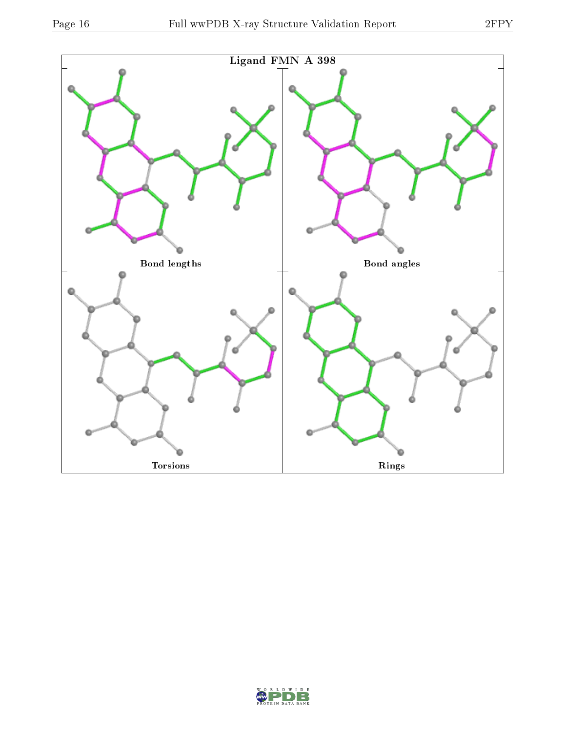

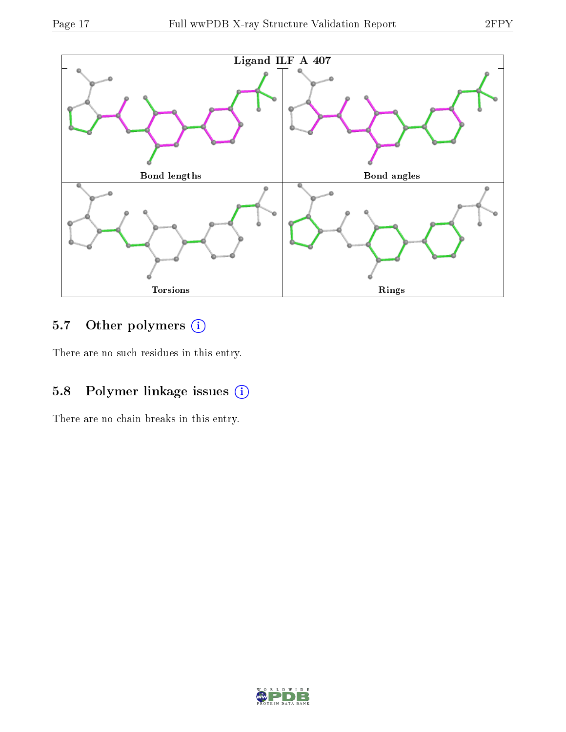

## 5.7 [O](https://www.wwpdb.org/validation/2017/XrayValidationReportHelp#nonstandard_residues_and_ligands)ther polymers (i)

There are no such residues in this entry.

# 5.8 Polymer linkage issues (i)

There are no chain breaks in this entry.